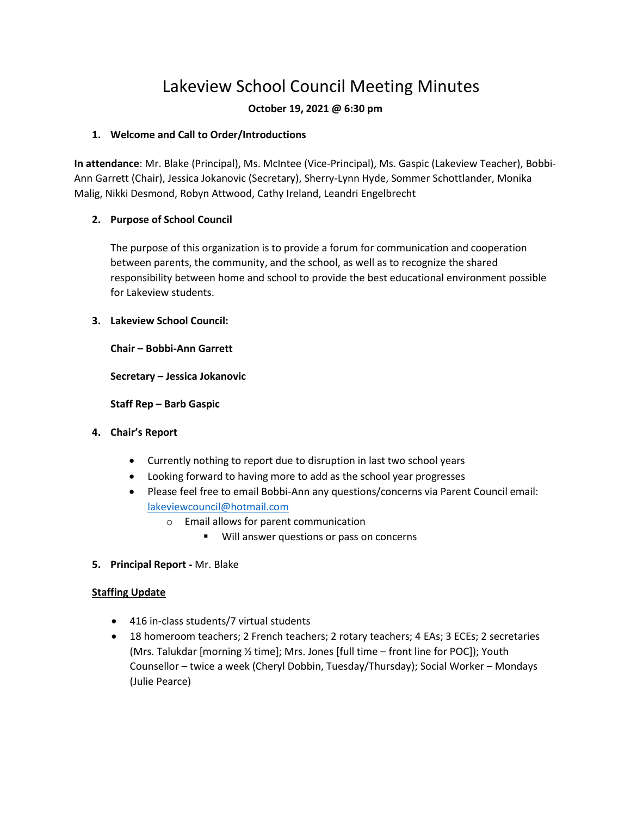# Lakeview School Council Meeting Minutes

## **October 19, 2021 @ 6:30 pm**

## **1. Welcome and Call to Order/Introductions**

**In attendance**: Mr. Blake (Principal), Ms. McIntee (Vice-Principal), Ms. Gaspic (Lakeview Teacher), Bobbi-Ann Garrett (Chair), Jessica Jokanovic (Secretary), Sherry-Lynn Hyde, Sommer Schottlander, Monika Malig, Nikki Desmond, Robyn Attwood, Cathy Ireland, Leandri Engelbrecht

## **2. Purpose of School Council**

The purpose of this organization is to provide a forum for communication and cooperation between parents, the community, and the school, as well as to recognize the shared responsibility between home and school to provide the best educational environment possible for Lakeview students.

## **3. Lakeview School Council:**

**Chair – Bobbi-Ann Garrett**

**Secretary – Jessica Jokanovic**

### **Staff Rep – Barb Gaspic**

## **4. Chair's Report**

- Currently nothing to report due to disruption in last two school years
- Looking forward to having more to add as the school year progresses
- Please feel free to email Bobbi-Ann any questions/concerns via Parent Council email: [lakeviewcouncil@hotmail.com](mailto:lakeviewcouncil@hotmail.com)
	- o Email allows for parent communication
		- Will answer questions or pass on concerns
- **5. Principal Report -** Mr. Blake

## **Staffing Update**

- 416 in-class students/7 virtual students
- 18 homeroom teachers; 2 French teachers; 2 rotary teachers; 4 EAs; 3 ECEs; 2 secretaries (Mrs. Talukdar [morning ½ time]; Mrs. Jones [full time – front line for POC]); Youth Counsellor – twice a week (Cheryl Dobbin, Tuesday/Thursday); Social Worker – Mondays (Julie Pearce)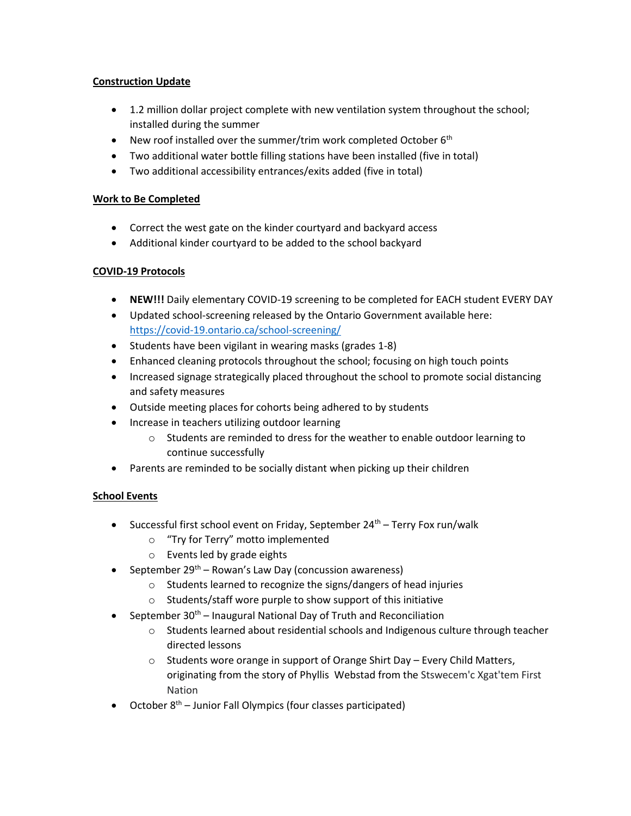### **Construction Update**

- 1.2 million dollar project complete with new ventilation system throughout the school; installed during the summer
- New roof installed over the summer/trim work completed October  $6<sup>th</sup>$
- Two additional water bottle filling stations have been installed (five in total)
- Two additional accessibility entrances/exits added (five in total)

### **Work to Be Completed**

- Correct the west gate on the kinder courtyard and backyard access
- Additional kinder courtyard to be added to the school backyard

## **COVID-19 Protocols**

- **NEW!!!** Daily elementary COVID-19 screening to be completed for EACH student EVERY DAY
- Updated school-screening released by the Ontario Government available here: <https://covid-19.ontario.ca/school-screening/>
- Students have been vigilant in wearing masks (grades 1-8)
- Enhanced cleaning protocols throughout the school; focusing on high touch points
- Increased signage strategically placed throughout the school to promote social distancing and safety measures
- Outside meeting places for cohorts being adhered to by students
- Increase in teachers utilizing outdoor learning
	- $\circ$  Students are reminded to dress for the weather to enable outdoor learning to continue successfully
- Parents are reminded to be socially distant when picking up their children

## **School Events**

- Successful first school event on Friday, September  $24<sup>th</sup>$  Terry Fox run/walk
	- o "Try for Terry" motto implemented
	- o Events led by grade eights
- September 29<sup>th</sup> Rowan's Law Day (concussion awareness)
	- o Students learned to recognize the signs/dangers of head injuries
	- o Students/staff wore purple to show support of this initiative
- September 30<sup>th</sup> Inaugural National Day of Truth and Reconciliation
	- o Students learned about residential schools and Indigenous culture through teacher directed lessons
	- $\circ$  Students wore orange in support of Orange Shirt Day Every Child Matters, originating from the story of Phyllis Webstad from the Stswecem'c Xgat'tem First Nation
- October  $8<sup>th</sup>$  Junior Fall Olympics (four classes participated)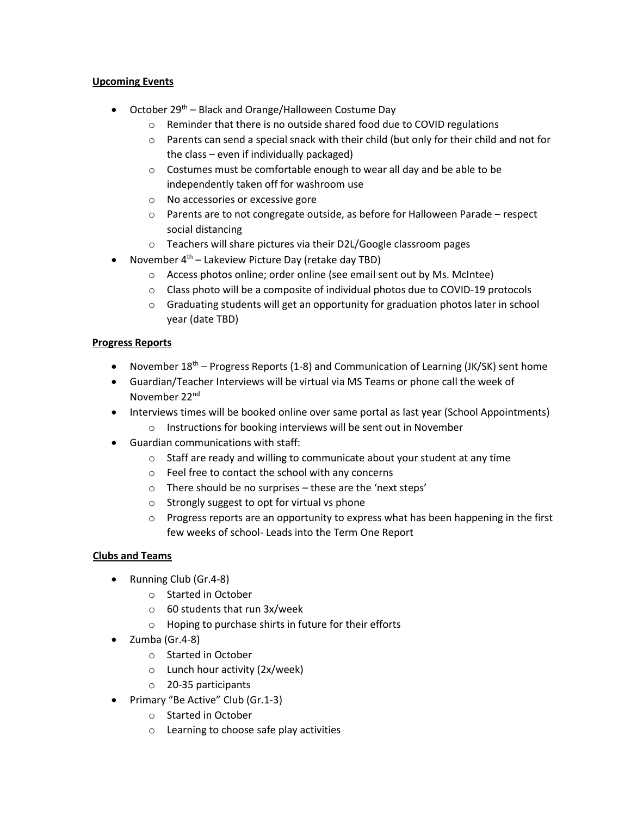### **Upcoming Events**

- October 29<sup>th</sup> Black and Orange/Halloween Costume Day
	- o Reminder that there is no outside shared food due to COVID regulations
	- $\circ$  Parents can send a special snack with their child (but only for their child and not for the class – even if individually packaged)
	- o Costumes must be comfortable enough to wear all day and be able to be independently taken off for washroom use
	- o No accessories or excessive gore
	- $\circ$  Parents are to not congregate outside, as before for Halloween Parade respect social distancing
	- o Teachers will share pictures via their D2L/Google classroom pages
- November  $4<sup>th</sup>$  Lakeview Picture Day (retake day TBD)
	- o Access photos online; order online (see email sent out by Ms. McIntee)
	- $\circ$  Class photo will be a composite of individual photos due to COVID-19 protocols
	- $\circ$  Graduating students will get an opportunity for graduation photos later in school year (date TBD)

#### **Progress Reports**

- November  $18<sup>th</sup>$  Progress Reports (1-8) and Communication of Learning (JK/SK) sent home
- Guardian/Teacher Interviews will be virtual via MS Teams or phone call the week of November 22<sup>nd</sup>
- Interviews times will be booked online over same portal as last year (School Appointments)
	- o Instructions for booking interviews will be sent out in November
- Guardian communications with staff:
	- o Staff are ready and willing to communicate about your student at any time
	- o Feel free to contact the school with any concerns
	- o There should be no surprises these are the 'next steps'
	- o Strongly suggest to opt for virtual vs phone
	- $\circ$  Progress reports are an opportunity to express what has been happening in the first few weeks of school- Leads into the Term One Report

#### **Clubs and Teams**

- Running Club (Gr.4-8)
	- o Started in October
	- o 60 students that run 3x/week
	- o Hoping to purchase shirts in future for their efforts
- Zumba (Gr.4-8)
	- o Started in October
	- o Lunch hour activity (2x/week)
	- o 20-35 participants
- Primary "Be Active" Club (Gr.1-3)
	- o Started in October
	- o Learning to choose safe play activities